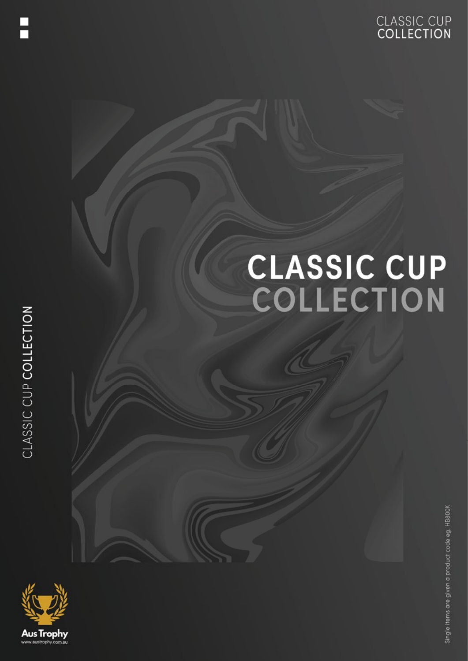

# **CLASSIC CUP<br>COLLECTION**

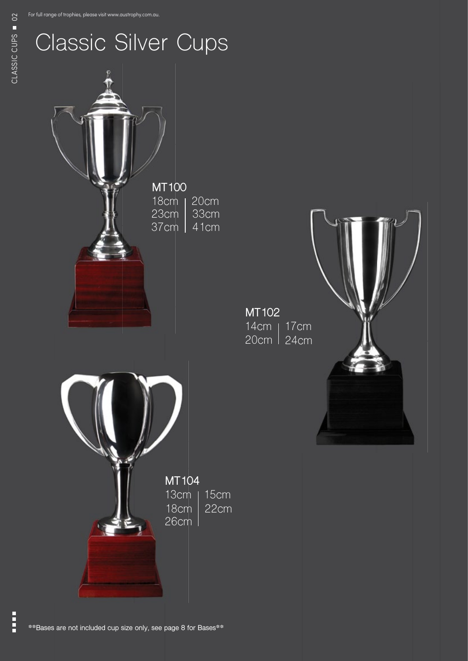

Ë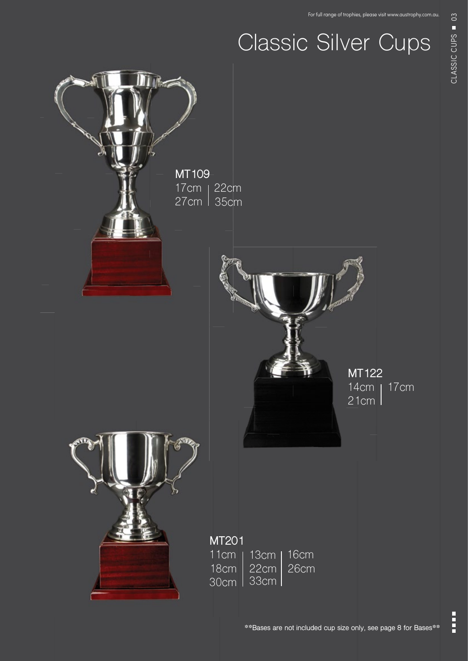## Classic Silver Cups

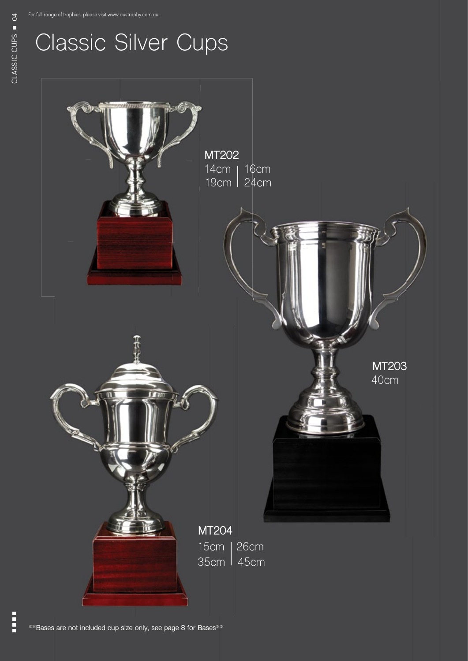#### Classic Silver Cups

**MT202** 14cm | 16cm 19cm 24cm **MT203** 40cm **MT204** 15cm 26cm 35cm 45cm

Å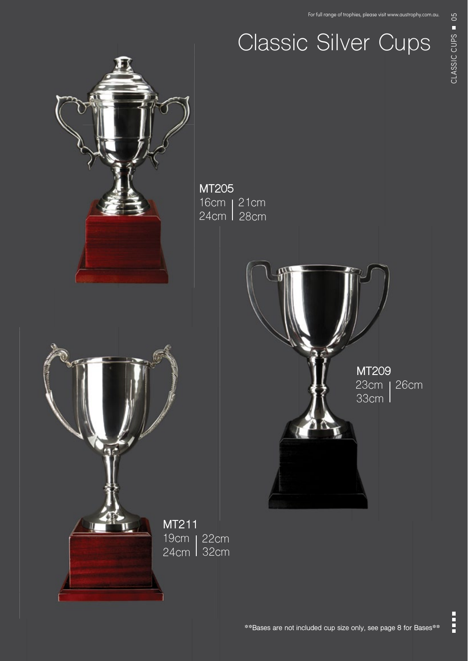### Classic Silver Cups



E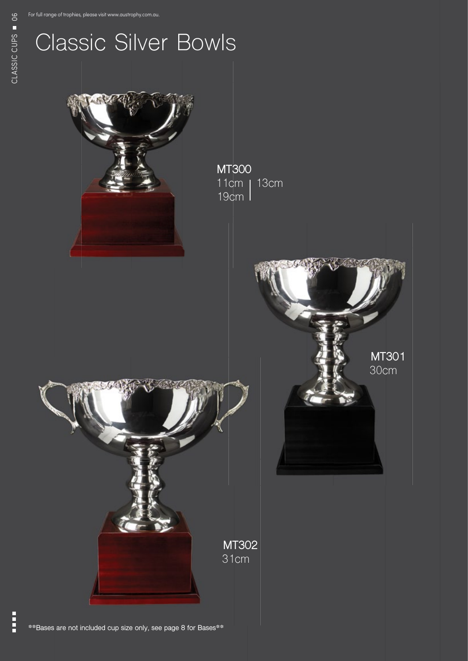#### Classic Silver Bowls

**MT300** 11cm 13cm 19cm **MT302** 31cm **MT301** 30cm

**\*\*Bases are not included cup size only, see page 8 for Bases\*\***

Ħ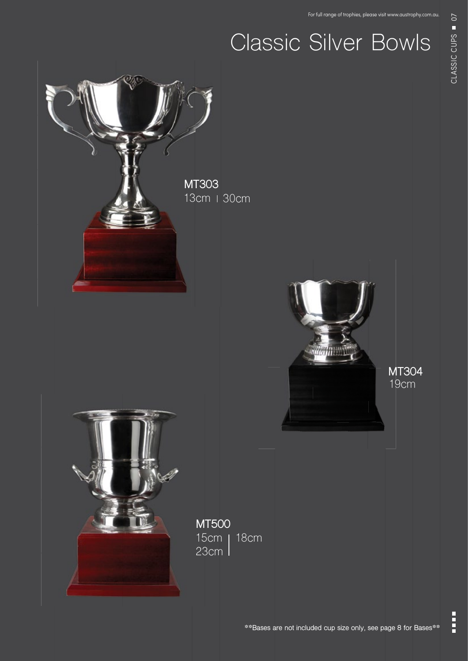### Classic Silver Bowls



E